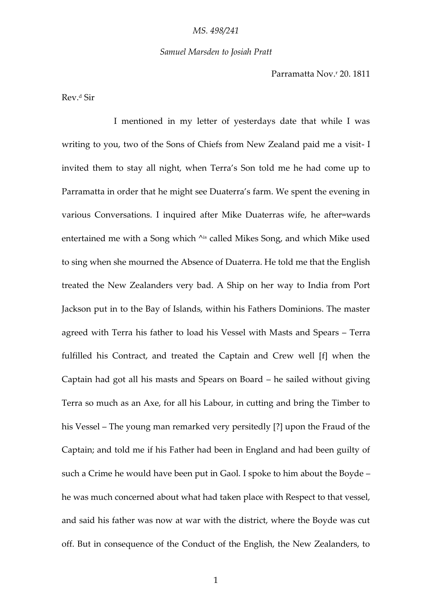## *Samuel Marsden to Josiah Pratt*

Parramatta Nov.<sup>r</sup> 20. 1811

Rev.<sup>d</sup> Sir

I mentioned in my letter of yesterdays date that while I was writing to you, two of the Sons of Chiefs from New Zealand paid me a visit- I invited them to stay all night, when Terra's Son told me he had come up to Parramatta in order that he might see Duaterra's farm. We spent the evening in various Conversations. I inquired after Mike Duaterras wife, he after=wards entertained me with a Song which ^is called Mikes Song, and which Mike used to sing when she mourned the Absence of Duaterra. He told me that the English treated the New Zealanders very bad. A Ship on her way to India from Port Jackson put in to the Bay of Islands, within his Fathers Dominions. The master agreed with Terra his father to load his Vessel with Masts and Spears – Terra fulfilled his Contract, and treated the Captain and Crew well [f] when the Captain had got all his masts and Spears on Board – he sailed without giving Terra so much as an Axe, for all his Labour, in cutting and bring the Timber to his Vessel – The young man remarked very persitedly [?] upon the Fraud of the Captain; and told me if his Father had been in England and had been guilty of such a Crime he would have been put in Gaol. I spoke to him about the Boyde – he was much concerned about what had taken place with Respect to that vessel, and said his father was now at war with the district, where the Boyde was cut off. But in consequence of the Conduct of the English, the New Zealanders, to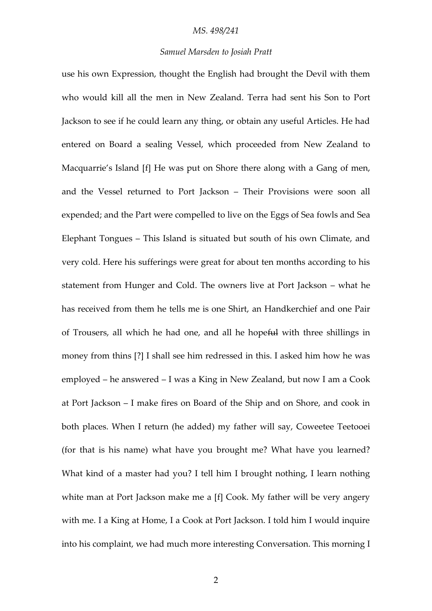# *Samuel Marsden to Josiah Pratt*

use his own Expression, thought the English had brought the Devil with them who would kill all the men in New Zealand. Terra had sent his Son to Port Jackson to see if he could learn any thing, or obtain any useful Articles. He had entered on Board a sealing Vessel, which proceeded from New Zealand to Macquarrie's Island [f] He was put on Shore there along with a Gang of men, and the Vessel returned to Port Jackson – Their Provisions were soon all expended; and the Part were compelled to live on the Eggs of Sea fowls and Sea Elephant Tongues – This Island is situated but south of his own Climate, and very cold. Here his sufferings were great for about ten months according to his statement from Hunger and Cold. The owners live at Port Jackson – what he has received from them he tells me is one Shirt, an Handkerchief and one Pair of Trousers, all which he had one, and all he hopeful with three shillings in money from thins [?] I shall see him redressed in this. I asked him how he was employed – he answered – I was a King in New Zealand, but now I am a Cook at Port Jackson – I make fires on Board of the Ship and on Shore, and cook in both places. When I return (he added) my father will say, Coweetee Teetooei (for that is his name) what have you brought me? What have you learned? What kind of a master had you? I tell him I brought nothing, I learn nothing white man at Port Jackson make me a [f] Cook. My father will be very angery with me. I a King at Home, I a Cook at Port Jackson. I told him I would inquire into his complaint, we had much more interesting Conversation. This morning I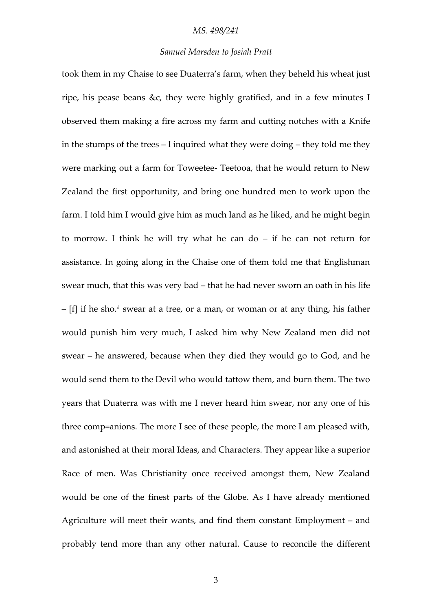# *Samuel Marsden to Josiah Pratt*

took them in my Chaise to see Duaterra's farm, when they beheld his wheat just ripe, his pease beans &c, they were highly gratified, and in a few minutes I observed them making a fire across my farm and cutting notches with a Knife in the stumps of the trees – I inquired what they were doing – they told me they were marking out a farm for Toweetee- Teetooa, that he would return to New Zealand the first opportunity, and bring one hundred men to work upon the farm. I told him I would give him as much land as he liked, and he might begin to morrow. I think he will try what he can do – if he can not return for assistance. In going along in the Chaise one of them told me that Englishman swear much, that this was very bad – that he had never sworn an oath in his life  $-[f]$  if he sho.<sup>d</sup> swear at a tree, or a man, or woman or at any thing, his father would punish him very much, I asked him why New Zealand men did not swear – he answered, because when they died they would go to God, and he would send them to the Devil who would tattow them, and burn them. The two years that Duaterra was with me I never heard him swear, nor any one of his three comp=anions. The more I see of these people, the more I am pleased with, and astonished at their moral Ideas, and Characters. They appear like a superior Race of men. Was Christianity once received amongst them, New Zealand would be one of the finest parts of the Globe. As I have already mentioned Agriculture will meet their wants, and find them constant Employment – and probably tend more than any other natural. Cause to reconcile the different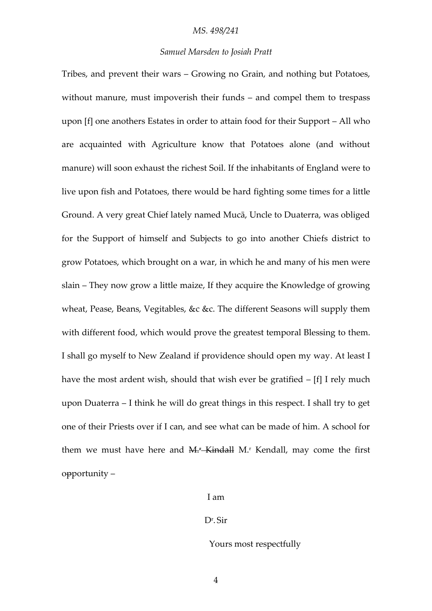# *Samuel Marsden to Josiah Pratt*

Tribes, and prevent their wars – Growing no Grain, and nothing but Potatoes, without manure, must impoverish their funds – and compel them to trespass upon [f] one anothers Estates in order to attain food for their Support – All who are acquainted with Agriculture know that Potatoes alone (and without manure) will soon exhaust the richest Soil. If the inhabitants of England were to live upon fish and Potatoes, there would be hard fighting some times for a little Ground. A very great Chief lately named Mucā, Uncle to Duaterra, was obliged for the Support of himself and Subjects to go into another Chiefs district to grow Potatoes, which brought on a war, in which he and many of his men were slain – They now grow a little maize, If they acquire the Knowledge of growing wheat, Pease, Beans, Vegitables, &c &c. The different Seasons will supply them with different food, which would prove the greatest temporal Blessing to them. I shall go myself to New Zealand if providence should open my way. At least I have the most ardent wish, should that wish ever be gratified – [f] I rely much upon Duaterra – I think he will do great things in this respect. I shall try to get one of their Priests over if I can, and see what can be made of him. A school for them we must have here and  $M$ <sup> $*$ </sup>-Kindall M<sub></sub><sup>r</sup> Kendall, may come the first opportunity –

## I am

# Dr . Sir

#### Yours most respectfully